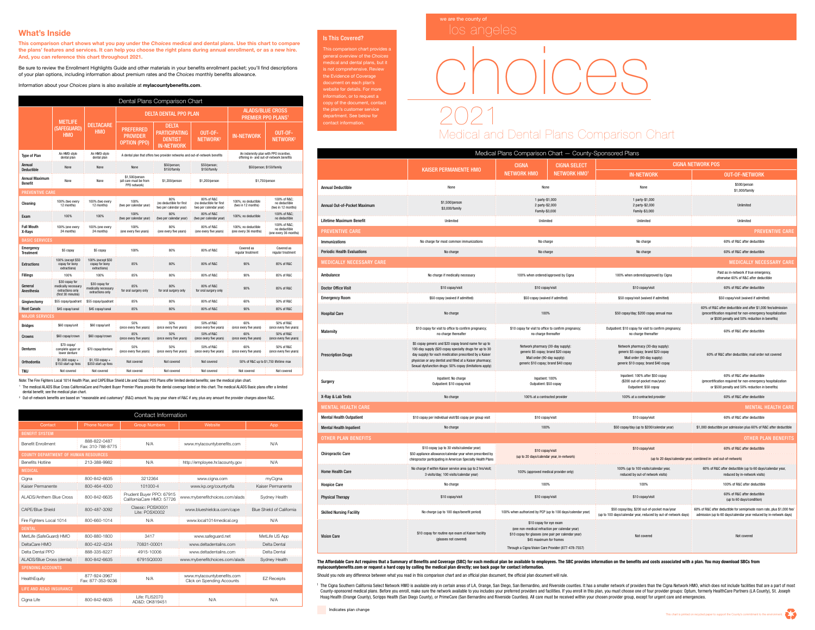

## Medical and Dental Plans Comparison Chart

## choices

| Dental Plans Comparison Chart    |                                                                                 |                                                           |                                                                             |                                                                             |                                                                  |                                                                                   |                                                       |  |  |
|----------------------------------|---------------------------------------------------------------------------------|-----------------------------------------------------------|-----------------------------------------------------------------------------|-----------------------------------------------------------------------------|------------------------------------------------------------------|-----------------------------------------------------------------------------------|-------------------------------------------------------|--|--|
|                                  | <b>METLIFE</b><br>(SAFEGUARD)<br><b>HMO</b>                                     | <b>DELTACARE</b><br><b>HMO</b>                            |                                                                             | <b>DELTA DENTAL PPO PLAN</b>                                                | <b>ALADS/BLUE CROSS</b><br><b>PREMIER PPO PLANS1</b>             |                                                                                   |                                                       |  |  |
|                                  |                                                                                 |                                                           | <b>PREFERRED</b><br><b>PROVIDER</b><br><b>OPTION (PPO)</b>                  | <b>DELTA</b><br><b>PARTICIPATING</b><br><b>DENTIST</b><br><b>IN-NETWORK</b> | OUT-OF-<br>NETWORK <sup>2</sup>                                  | <b>IN-NETWORK</b>                                                                 | OUT-OF-<br>NETWORK <sup>2</sup>                       |  |  |
| <b>Type of Plan</b>              | An HMO-style<br>dental plan                                                     | An HMO-style<br>dental plan                               | A dental plan that offers two provider networks and out-of-network benefits |                                                                             |                                                                  | An indemnity plan with PPO incentive,<br>offering in- and out-of-network benefits |                                                       |  |  |
| Annual<br><b>Deductible</b>      | None                                                                            | None                                                      | \$50/person;<br>\$50/person;<br>None<br>\$150/family<br>\$150/family        |                                                                             | \$50/person; \$150/family                                        |                                                                                   |                                                       |  |  |
| <b>Annual Maximum</b><br>Benefit | None                                                                            | None                                                      | \$1,500/person<br>(all care must be from<br>PPO network)                    | \$1,200/person                                                              | \$1,200/person                                                   |                                                                                   | \$1,750/person                                        |  |  |
| <b>PREVENTIVE CARE</b>           |                                                                                 |                                                           |                                                                             |                                                                             |                                                                  |                                                                                   |                                                       |  |  |
| Cleaning                         | 100% (two every<br>12 months)                                                   | 100% (two every<br>12 months)                             | 100%<br>(two per calendar year)                                             | 80%<br>(no deductible for first<br>two per calendar year)                   | 80% of R&C<br>(no deductible for first<br>two per calendar year) | 100%; no deductible<br>(two in 12 months)                                         | 100% of R&C<br>no deductible<br>(two in 12 months)    |  |  |
| Exam                             | 100%                                                                            | 100%                                                      | 100%<br>(two per calendar year)                                             | 80%<br>(two per calendar year)                                              | 80% of R&C<br>(two per calendar year)                            |                                                                                   | 100% of R&C<br>no deductible                          |  |  |
| <b>Full Mouth</b><br>X-Rays      | 100% (one every<br>24 months)                                                   | 100% (one every<br>24 months)                             | 100%<br>(one every five years)                                              | 80%<br>(one every five years)                                               | 80% of R&C<br>(one every five years)                             | 100%: no deductible<br>(one every 36 months)                                      | 100% of R&C<br>no deductible<br>(one every 36 months) |  |  |
| <b>BASIC SERVICES</b>            |                                                                                 |                                                           |                                                                             |                                                                             |                                                                  |                                                                                   |                                                       |  |  |
| Emergency<br>Treatment           | \$5 copay                                                                       | \$5 copay                                                 | 100%                                                                        | 80%                                                                         | 80% of R&C                                                       | Covered as<br>regular treatment                                                   | Covered as<br>regular treatment                       |  |  |
| <b>Extractions</b>               | 100% (except \$50<br>copay for bony<br>extractions)                             | 100% (except \$50<br>copay for bony<br>extractions)       | 85%                                                                         | 80%                                                                         | 80% of R&C                                                       | 90%                                                                               | 85% of R&C                                            |  |  |
| <b>Fillings</b>                  | 100%                                                                            | 100%                                                      | 85%                                                                         | 80%                                                                         | 80% of R&C                                                       | 90%                                                                               | 85% of R&C                                            |  |  |
| General<br>Anesthesia            | \$30 copay for<br>medically necessary<br>extractions only<br>(first 30 minutes) | \$30 copay for<br>medically necessary<br>extractions only | 85%<br>for oral surgery only                                                | 80%<br>for oral surgery only                                                | 80% of R&C<br>for oral surgery only                              | 90%                                                                               | 85% of R&C                                            |  |  |
| Gingivectomy                     | \$55 copay/quadrant                                                             | \$55 copay/quadrant                                       | 85%                                                                         | 80%                                                                         | 80% of R&C                                                       | 60%                                                                               | 50% of R&C                                            |  |  |
| <b>Root Canals</b>               | \$45 copay/canal                                                                | \$45 copay/canal                                          | 85%                                                                         | 80%                                                                         | 80% of R&C                                                       | 90%                                                                               | 85% of R&C                                            |  |  |
| <b>MAJOR SERVICES</b>            |                                                                                 |                                                           |                                                                             |                                                                             |                                                                  |                                                                                   |                                                       |  |  |
| <b>Bridges</b>                   | \$60 copay/unit                                                                 | \$60 copay/unit                                           | 50%<br>(once every five years)                                              | 50%<br>(once every five years)                                              | 50% of R&C<br>(once every five years)                            | 60%<br>(once every five years)                                                    | 50% of R&C<br>(once every five years)                 |  |  |
| Crowns                           | \$60 copay/crown                                                                | \$60 copay/crown                                          | 85%<br>(once every five years)                                              | 50%<br>(once every five years)                                              | 50% of R&C<br>(once every five years)                            | 60%<br>(once every five years)                                                    | 50% of R&C<br>(once every five years)                 |  |  |
| <b>Dentures</b>                  | \$70 copay/<br>complete upper or<br>lower denture                               | \$70 copay/denture                                        | 50%<br>(once every five years)                                              | 50%<br>(once every five years)                                              | 50% of R&C<br>(once every five years)                            | 60%<br>(once every five years)                                                    | 50% of R&C<br>(once every five years)                 |  |  |
| Orthodontia                      | $$1,000$ copay +<br>\$150 start-up fees                                         | $$1,150$ copay +<br>\$350 start-up fees                   | Not covered                                                                 | Not covered                                                                 | Not covered                                                      | 50% of R&C up to \$1,750 lifetime max                                             |                                                       |  |  |
| TMJ                              | Not covered                                                                     | Not covered                                               | Not covered                                                                 | Not covered                                                                 | Not covered                                                      | Not covered                                                                       | Not covered                                           |  |  |

The Affordable Care Act requires that a Summary of Benefits and Coverage (SBC) for each medical plan be available to employees. The SBC provides information on the benefits and costs associated with a plan. You may downloa mylacountybenefits.com or request a hard copy by calling the medical plan directly; see back page for contact information. Should you note any difference between what you read in this comparison chart and an official plan document, the official plan document will rule.

## What's Inside

This comparison chart shows what you pay under the *Choices* medical and dental plans. Use this chart to compare the plans' features and services. It can help you choose the right plans during annual enrollment, or as a new hire. And, you can reference this chart throughout 2021.

Be sure to review the Enrollment Highlights Guide and other materials in your benefits enrollment packet; you'll find descriptions of your plan options, including information about premium rates and the *Choices* monthly benefits allowance.

Information about your *Choices* plans is also available at mylacountybenefits.com.

| Contact Information                         |                                   |                                                       |                                                          |                                  |  |  |  |  |
|---------------------------------------------|-----------------------------------|-------------------------------------------------------|----------------------------------------------------------|----------------------------------|--|--|--|--|
| Contact                                     | <b>Phone Number</b>               | <b>Group Numbers</b>                                  | Website                                                  | App                              |  |  |  |  |
| <b>BENEFIT SYSTEM</b>                       |                                   |                                                       |                                                          |                                  |  |  |  |  |
| <b>Benefit Enrollment</b>                   | 888-822-0487<br>Fax: 310-788-8775 | N/A                                                   | www.mylacountybenefits.com                               | N/A                              |  |  |  |  |
| <b>COUNTY DEPARTMENT OF HUMAN RESOURCES</b> |                                   |                                                       |                                                          |                                  |  |  |  |  |
| <b>Benefits Hotline</b>                     | 213-388-9982                      | N/A                                                   | http://employee.hr.lacounty.gov                          | N/A                              |  |  |  |  |
| <b>MEDICAL</b>                              |                                   |                                                       |                                                          |                                  |  |  |  |  |
| Cigna                                       | 800-842-6635                      | 3212364                                               | www.cigna.com                                            | myCigna                          |  |  |  |  |
| Kaiser Permanente                           | 800-464-4000                      | 101000-4                                              | www.kp.org/countyofla                                    | Kaiser Permanente                |  |  |  |  |
| <b>ALADS/Anthem Blue Cross</b>              | 800-842-6635                      | Prudent Buyer PPO: 67915<br>CaliforniaCare HMO: 57726 | www.mybenefitchoices.com/alads                           | Sydney Health                    |  |  |  |  |
| <b>CAPE/Blue Shield</b>                     | 800-487-3092                      | Classic: POSX0001<br>Lite: POSX0002                   | www.blueshieldca.com/cape                                | <b>Blue Shield of California</b> |  |  |  |  |
| Fire Fighters Local 1014                    | 800-660-1014                      | N/A                                                   | www.local1014medical.org                                 | N/A                              |  |  |  |  |
| <b>DENTAL</b>                               |                                   |                                                       |                                                          |                                  |  |  |  |  |
| MetLife (SafeGuard) HMO                     | 800-880-1800                      | 3417                                                  | www.safeguard.net                                        | MetLife US App                   |  |  |  |  |
| DeltaCare HMO                               | 800-422-4234                      | 70831-00001                                           | www.deltadentalins.com                                   | Delta Dental                     |  |  |  |  |
| Delta Dental PPO                            | 888-335-8227                      | 4915-10006                                            | www.deltadentalins.com                                   | Delta Dental                     |  |  |  |  |
| ALADS/Blue Cross (dental)                   | 800-842-6635                      | 67915Q0000                                            | www.mybenefitchoices.com/alads                           | Sydney Health                    |  |  |  |  |
| <b>SPENDING ACCOUNTS</b>                    |                                   |                                                       |                                                          |                                  |  |  |  |  |
| HealthEquity                                | 877-924-3967<br>Fax: 877-353-9236 | N/A                                                   | www.mylacountybenefits.com<br>Click on Spending Accounts | <b>EZ Receipts</b>               |  |  |  |  |
| <b>LIFE AND AD&amp;D INSURANCE</b>          |                                   |                                                       |                                                          |                                  |  |  |  |  |
| Cigna Life                                  | 800-842-6635                      | Life: FLI52070<br>AD&D: OK819451                      | N/A                                                      | N/A                              |  |  |  |  |

Note: The Fire Fighters Local 1014 Health Plan, and CAPE/Blue Shield Lite and Classic POS Plans offer limited dental benefits; see the medical plan chart. <sup>1</sup> The medical ALADS Blue Cross CaliforniaCare and Prudent Buyer Premier Plans provide the dental coverage listed on this chart. The medical ALADS Basic plans offer a limited dental benefit; see the medical plan chart.

<sup>2</sup> Out-of-network benefits are based on "reasonable and customary" (R&C) amount. You pay your share of R&C if any, plus any amount the provider charges above R&C.



<sup>1</sup> The Cigna Southern California Select Network HMO is available only in certain areas of LA, Orange, San Diego, San Bernardino, and Riverside counties. It has a smaller network of providers than the Cigna Network HMO, wh County-sponsored medical plans. Before you enroll, make sure the network available to you includes your preferred providers and facilities. If you enroll in this plan, you must choose one of four provider groups: Optum, fo Hoag Health (Orange County), Scripps Health (San Diego County), or PrimeCare (San Bernardino and Riverside Counties). All care must be received within your chosen provider group, except for urgent care and emergencies.

## Is This Covered?

This comparison chart provides a general overview of the *Choices* medical and dental plans, but it is not comprehensive. Review the Evidence of Coverage document on each plan's website for details. For more information, or to request a copy of the document, contact the plan's customer service department. See below for contact information.

| Medical Plans Comparison Chart - County-Sponsored Plans |                                                                                                                                                                                                                                                                                                    |                                                                                                                                                 |                                                                                                           |                                                                                                                                                 |                                                                                                                                                                                |  |  |  |  |
|---------------------------------------------------------|----------------------------------------------------------------------------------------------------------------------------------------------------------------------------------------------------------------------------------------------------------------------------------------------------|-------------------------------------------------------------------------------------------------------------------------------------------------|-----------------------------------------------------------------------------------------------------------|-------------------------------------------------------------------------------------------------------------------------------------------------|--------------------------------------------------------------------------------------------------------------------------------------------------------------------------------|--|--|--|--|
|                                                         |                                                                                                                                                                                                                                                                                                    | <b>CIGNA</b><br><b>CIGNA SELECT</b>                                                                                                             |                                                                                                           | <b>CIGNA NETWORK POS</b>                                                                                                                        |                                                                                                                                                                                |  |  |  |  |
|                                                         | <b>KAISER PERMANENTE HMO</b>                                                                                                                                                                                                                                                                       |                                                                                                                                                 | <b>NETWORK HMO<sup>1</sup></b>                                                                            | <b>IN-NETWORK</b>                                                                                                                               | <b>OUT-OF-NETWORK</b>                                                                                                                                                          |  |  |  |  |
| <b>Annual Deductible</b>                                | None                                                                                                                                                                                                                                                                                               | None                                                                                                                                            |                                                                                                           | None                                                                                                                                            | \$500/person<br>\$1,000/family                                                                                                                                                 |  |  |  |  |
| Annual Out-of-Pocket Maximum                            | \$1,500/person<br>\$3,000/family                                                                                                                                                                                                                                                                   | 1 party-\$1,000<br>2 party-\$2,000<br>Family-\$3,000                                                                                            |                                                                                                           | 1 party-\$1,000<br>2 party-\$2,000<br>Family-\$3,000                                                                                            | Unlimited                                                                                                                                                                      |  |  |  |  |
| Lifetime Maximum Benefit                                | Unlimited                                                                                                                                                                                                                                                                                          | Unlimited                                                                                                                                       |                                                                                                           | Unlimited                                                                                                                                       | Unlimited                                                                                                                                                                      |  |  |  |  |
| <b>PREVENTIVE CARE</b>                                  |                                                                                                                                                                                                                                                                                                    |                                                                                                                                                 |                                                                                                           |                                                                                                                                                 | <b>PREVENTIVE CARE</b>                                                                                                                                                         |  |  |  |  |
| <b>Immunizations</b>                                    | No charge for most common immunizations                                                                                                                                                                                                                                                            |                                                                                                                                                 | No charge                                                                                                 | No charge                                                                                                                                       | 60% of R&C after deductible                                                                                                                                                    |  |  |  |  |
| <b>Periodic Health Evaluations</b>                      | No charge                                                                                                                                                                                                                                                                                          | No charge                                                                                                                                       |                                                                                                           | No charge                                                                                                                                       | 60% of R&C after deductible                                                                                                                                                    |  |  |  |  |
| <b>MEDICALLY NECESSARY CARE</b>                         |                                                                                                                                                                                                                                                                                                    |                                                                                                                                                 |                                                                                                           |                                                                                                                                                 | <b>MEDICALLY NECESSARY CARE</b>                                                                                                                                                |  |  |  |  |
| Ambulance                                               | No charge if medically necessary                                                                                                                                                                                                                                                                   |                                                                                                                                                 | 100% when ordered/approved by Cigna                                                                       | 100% when ordered/approved by Cigna                                                                                                             | Paid as in-network if true emergency,<br>otherwise 60% of R&C after deductible                                                                                                 |  |  |  |  |
| <b>Doctor Office Visit</b>                              | \$10 copay/visit                                                                                                                                                                                                                                                                                   |                                                                                                                                                 | \$10 copay/visit                                                                                          | \$10 copay/visit                                                                                                                                | 60% of R&C after deductible                                                                                                                                                    |  |  |  |  |
| <b>Emergency Room</b>                                   | \$50 copay (waived if admitted)                                                                                                                                                                                                                                                                    |                                                                                                                                                 | \$50 copay (waived if admitted)                                                                           | \$50 copay/visit (waived if admitted)                                                                                                           | \$50 copay/visit (waived if admitted)                                                                                                                                          |  |  |  |  |
| <b>Hospital Care</b>                                    | No charge                                                                                                                                                                                                                                                                                          | 100%                                                                                                                                            |                                                                                                           | \$50 copay/day; \$200 copay annual max                                                                                                          | 60% of R&C after deductible and after \$1,000 fee/admission<br>(precertification required for non-emergency hospitalization<br>or \$500 penalty and 50% reduction in benefits) |  |  |  |  |
| <b>Maternity</b>                                        | \$10 copay for visit to office to confirm pregnancy;<br>no charge thereafter                                                                                                                                                                                                                       | \$10 copay for visit to office to confirm pregnancy;<br>no charge thereafter                                                                    |                                                                                                           | Outpatient: \$10 copay for visit to confirm pregnancy;<br>no charge thereafter                                                                  | 60% of R&C after deductible                                                                                                                                                    |  |  |  |  |
| <b>Prescription Drugs</b>                               | \$5 copay generic and \$20 copay brand name for up to<br>100-day supply (\$20 copay specialty drugs for up to 30<br>day supply) for each medication prescribed by a Kaiser<br>physician or any dentist and filled at a Kaiser pharmacy;<br>Sexual dysfunction drugs: 50% copay (limitations apply) | Network pharmacy (30-day supply):<br>generic \$5 copay; brand \$20 copay<br>Mail order (90-day supply):<br>generic \$10 copay; brand \$40 copay |                                                                                                           | Network pharmacy (30-day supply):<br>generic \$5 copay; brand \$20 copay<br>Mail order (90-day supply):<br>generic \$10 copay; brand \$40 copay | 60% of R&C after deductible; mail order not covered                                                                                                                            |  |  |  |  |
| Surgery                                                 | Inpatient: No charge<br>Outpatient: \$10 copay/visit                                                                                                                                                                                                                                               | Inpatient: 100%<br>Outpatient: \$50 copay                                                                                                       |                                                                                                           | Inpatient: 100% after \$50 copay<br>(\$200 out-of-pocket max/year)<br>Outpatient: \$50 copay                                                    | 60% of R&C after deductible<br>(precertification required for non-emergency hospitalization<br>or \$500 penalty and 50% reduction in benefits)                                 |  |  |  |  |
| X-Ray & Lab Tests                                       | No charge                                                                                                                                                                                                                                                                                          | 100% at a contracted provider                                                                                                                   |                                                                                                           | 100% at a contracted provider                                                                                                                   | 60% of R&C after deductible                                                                                                                                                    |  |  |  |  |
| <b>MENTAL HEALTH CARE</b>                               |                                                                                                                                                                                                                                                                                                    |                                                                                                                                                 |                                                                                                           |                                                                                                                                                 | <b>MENTAL HEALTH CARE</b>                                                                                                                                                      |  |  |  |  |
| <b>Mental Health Outpatient</b>                         | \$10 copay per individual visit/\$5 copay per group visit                                                                                                                                                                                                                                          | \$10 copay/visit                                                                                                                                |                                                                                                           | \$10 copay/visit                                                                                                                                | 60% of R&C after deductible                                                                                                                                                    |  |  |  |  |
| <b>Mental Health Inpatient</b>                          | No charge                                                                                                                                                                                                                                                                                          |                                                                                                                                                 | 100%                                                                                                      | \$50 copay/day (up to \$200/calendar year)                                                                                                      | \$1,000 deductible per admission plus 60% of R&C after deductible                                                                                                              |  |  |  |  |
| <b>OTHER PLAN BENEFITS</b>                              |                                                                                                                                                                                                                                                                                                    |                                                                                                                                                 |                                                                                                           |                                                                                                                                                 | <b>OTHER PLAN BENEFITS</b>                                                                                                                                                     |  |  |  |  |
| <b>Chiropractic Care</b>                                | \$10 copay (up to 30 visits/calendar year)<br>\$50 appliance allowance/calendar year when prescribed by                                                                                                                                                                                            | \$10 copay/visit<br>(up to 20 days/calendar year, in-network)                                                                                   |                                                                                                           | \$10 copay/visit                                                                                                                                | 60% of R&C after deductible                                                                                                                                                    |  |  |  |  |
|                                                         | chiropractor participating in American Specialty Health Plans                                                                                                                                                                                                                                      |                                                                                                                                                 |                                                                                                           | (up to 20 days/calendar year; combined in- and out-of-network)                                                                                  |                                                                                                                                                                                |  |  |  |  |
| <b>Home Health Care</b>                                 | No charge if within Kaiser service area (up to 2 hrs/visit;<br>3 visits/day; 100 visits/calendar year)                                                                                                                                                                                             | 100% (approved medical provider only)                                                                                                           |                                                                                                           | 100% (up to 100 visits/calendar year,<br>reduced by out-of network visits)                                                                      | 60% of R&C after deductible (up to 60 days/calendar year,<br>reduced by in-network visits)                                                                                     |  |  |  |  |
| <b>Hospice Care</b>                                     | No charge                                                                                                                                                                                                                                                                                          | 100%                                                                                                                                            |                                                                                                           | 100%                                                                                                                                            | 100% of R&C after deductible                                                                                                                                                   |  |  |  |  |
| <b>Physical Therapy</b>                                 | \$10 copay/visit                                                                                                                                                                                                                                                                                   | \$10 copay/visit                                                                                                                                |                                                                                                           | \$10 copay/visit                                                                                                                                | 60% of R&C after deductible<br>(up to 60 days/condition)                                                                                                                       |  |  |  |  |
| <b>Skilled Nursing Facility</b>                         | No charge (up to 100 days/benefit period)                                                                                                                                                                                                                                                          |                                                                                                                                                 | 100% when authorized by PCP (up to 100 days/calendar year)                                                | \$50 copay/day, \$200 out-of-pocket max/year<br>(up to 100 days/calendar year, reduced by out-of-network days)                                  | 60% of R&C after deductible for semiprivate room rate, plus \$1,000 fee/<br>admission (up to 60 days/calendar year reduced by in-network days)                                 |  |  |  |  |
| <b>Vision Care</b>                                      | \$10 copay for routine eye exam at Kaiser facility<br>(glasses not covered)                                                                                                                                                                                                                        | (one non-medical refraction per calendar year)<br>\$10 copay for glasses (one pair per calendar year)                                           | \$10 copay for eye exam<br>\$45 maximum for frames<br>Through a Cigna Vision Care Provider (877-478-7557) | Not covered                                                                                                                                     | Not covered                                                                                                                                                                    |  |  |  |  |

Indicates plan change